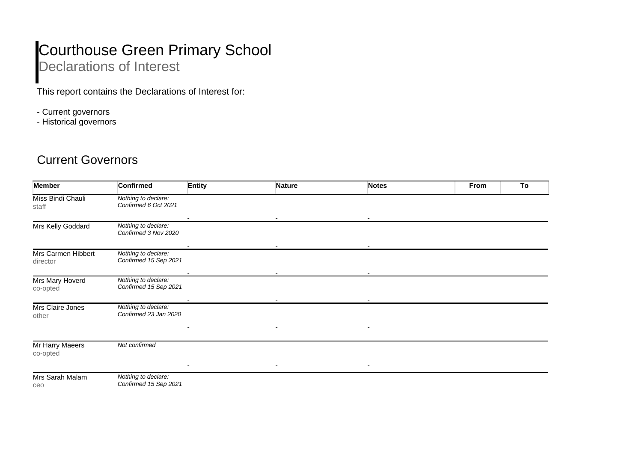## Courthouse Green Primary School Declarations of Interest

This report contains the Declarations of Interest for:

- Current governors
- Historical governors

## Current Governors

| <b>Member</b>                  | <b>Confirmed</b>                             | <b>Entity</b> | <b>Nature</b> | <b>Notes</b> | From | To |
|--------------------------------|----------------------------------------------|---------------|---------------|--------------|------|----|
| Miss Bindi Chauli<br>staff     | Nothing to declare:<br>Confirmed 6 Oct 2021  |               |               |              |      |    |
| Mrs Kelly Goddard              | Nothing to declare:<br>Confirmed 3 Nov 2020  |               |               |              |      |    |
| Mrs Carmen Hibbert<br>director | Nothing to declare:<br>Confirmed 15 Sep 2021 |               |               |              |      |    |
| Mrs Mary Hoverd<br>co-opted    | Nothing to declare:<br>Confirmed 15 Sep 2021 |               |               |              |      |    |
| Mrs Claire Jones<br>other      | Nothing to declare:<br>Confirmed 23 Jan 2020 | ٠             |               | ٠            |      |    |
| Mr Harry Maeers<br>co-opted    | Not confirmed                                |               |               |              |      |    |
| Mrs Sarah Malam<br>ceo         | Nothing to declare:<br>Confirmed 15 Sep 2021 |               |               |              |      |    |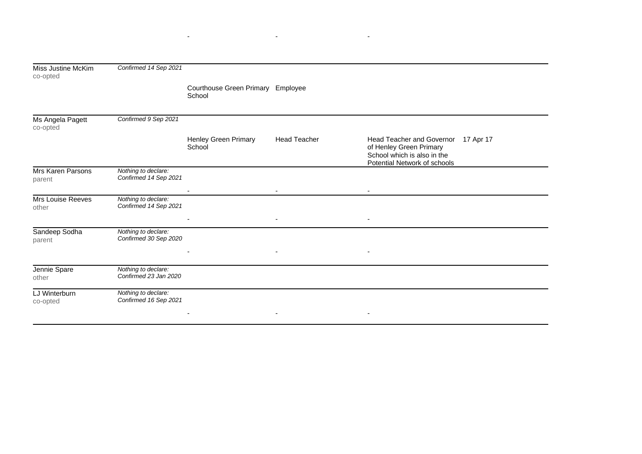| Miss Justine McKim<br>co-opted     | Confirmed 14 Sep 2021                        |                                             |                          |                                                                                                                               |  |
|------------------------------------|----------------------------------------------|---------------------------------------------|--------------------------|-------------------------------------------------------------------------------------------------------------------------------|--|
|                                    |                                              | Courthouse Green Primary Employee<br>School |                          |                                                                                                                               |  |
| Ms Angela Pagett<br>co-opted       | Confirmed 9 Sep 2021                         |                                             |                          |                                                                                                                               |  |
|                                    |                                              | Henley Green Primary<br>School              | <b>Head Teacher</b>      | Head Teacher and Governor 17 Apr 17<br>of Henley Green Primary<br>School which is also in the<br>Potential Network of schools |  |
| <b>Mrs Karen Parsons</b><br>parent | Nothing to declare:<br>Confirmed 14 Sep 2021 |                                             |                          |                                                                                                                               |  |
| Mrs Louise Reeves<br>other         | Nothing to declare:<br>Confirmed 14 Sep 2021 |                                             | $\sim$                   | $\sim$                                                                                                                        |  |
|                                    |                                              |                                             | $\overline{\phantom{a}}$ | $\overline{\phantom{a}}$                                                                                                      |  |
| Sandeep Sodha<br>parent            | Nothing to declare:<br>Confirmed 30 Sep 2020 |                                             |                          |                                                                                                                               |  |
|                                    |                                              |                                             |                          |                                                                                                                               |  |
| Jennie Spare<br>other              | Nothing to declare:<br>Confirmed 23 Jan 2020 |                                             |                          |                                                                                                                               |  |
| LJ Winterburn<br>co-opted          | Nothing to declare:<br>Confirmed 16 Sep 2021 |                                             |                          |                                                                                                                               |  |
|                                    |                                              |                                             |                          | $\overline{\phantom{a}}$                                                                                                      |  |

- - -